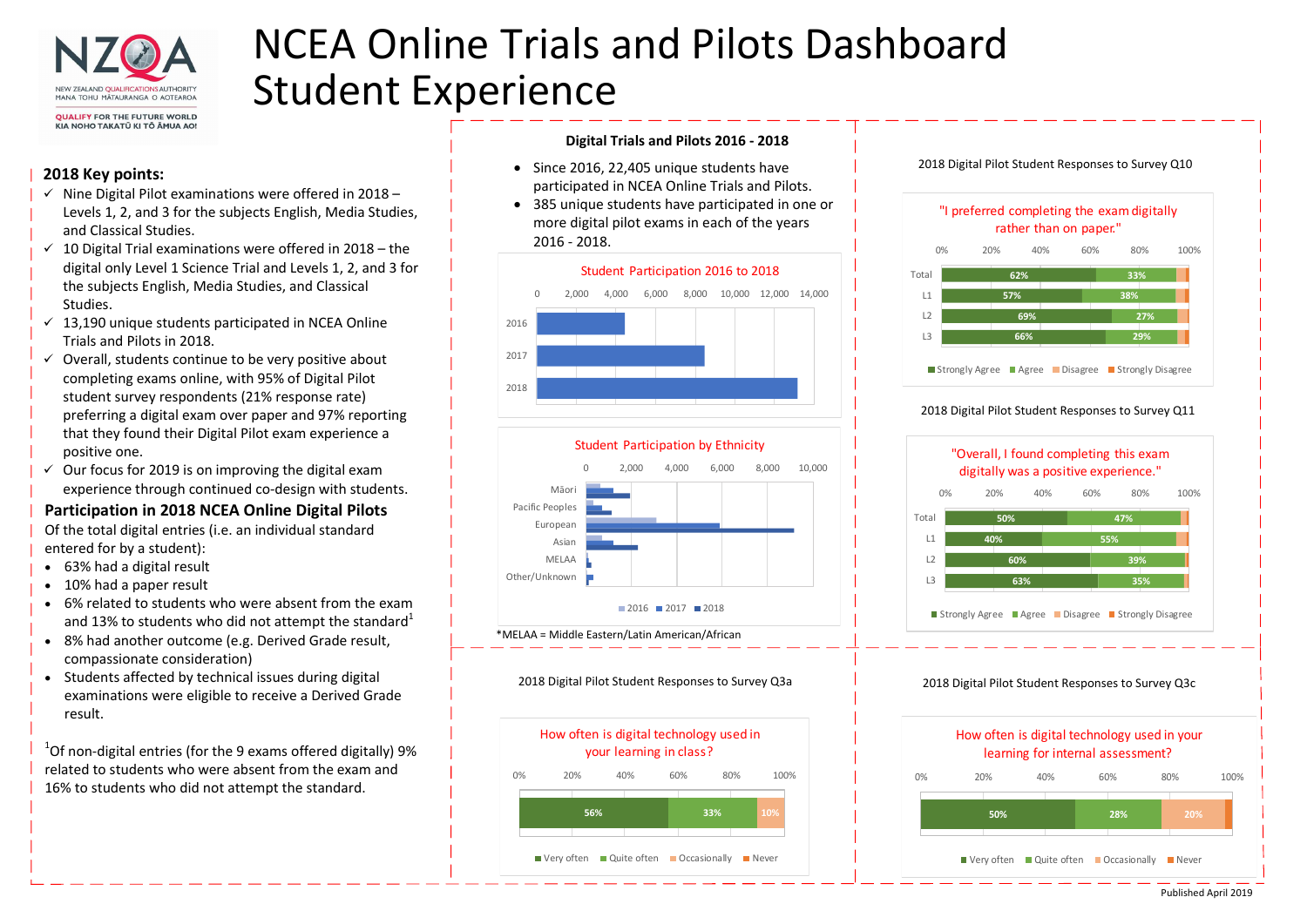

KIA NOHO TAKATŪ KI TŌ ĀMUA AO!

# NCEA Online Trials and Pilots Dashboard Student Experience

### Digital Trials and Pilots 2016 - 2018

Published April 2019

- Since 2016, 22,405 unique students have participated in NCEA Online Trials and Pilots.
- 385 unique students have participated in one or more digital pilot exams in each of the years 2016 - 2018.
- $\checkmark$  Nine Digital Pilot examinations were offered in 2018 Levels 1, 2, and 3 for the subjects English, Media Studies, and Classical Studies.
- $\checkmark$  10 Digital Trial examinations were offered in 2018 the digital only Level 1 Science Trial and Levels 1, 2, and 3 for the subjects English, Media Studies, and Classical Studies.
- $\checkmark$  13,190 unique students participated in NCEA Online Trials and Pilots in 2018.
- Overall, students continue to be very positive about completing exams online, with 95% of Digital Pilot student survey respondents (21% response rate) preferring a digital exam over paper and 97% reporting that they found their Digital Pilot exam experience a positive one.
- $\checkmark$  Our focus for 2019 is on improving the digital exam experience through continued co-design with students.

## 2018 Key points:

 $1$ Of non-digital entries (for the 9 exams offered digitally) 9% related to students who were absent from the exam and 16% to students who did not attempt the standard.





| How c<br>Ï |  |
|------------|--|
| 0%<br>20%  |  |
|            |  |
| ■ Very     |  |

## Participation in 2018 NCEA Online Digital Pilots

Of the total digital entries (i.e. an individual standard entered for by a student):

- 63% had a digital result
- 10% had a paper result
- 6% related to students who were absent from the exam and 13% to students who did not attempt the standard<sup>1</sup>
- 8% had another outcome (e.g. Derived Grade result, compassionate consideration)
- Students affected by technical issues during digital examinations were eligible to receive a Derived Grade result.